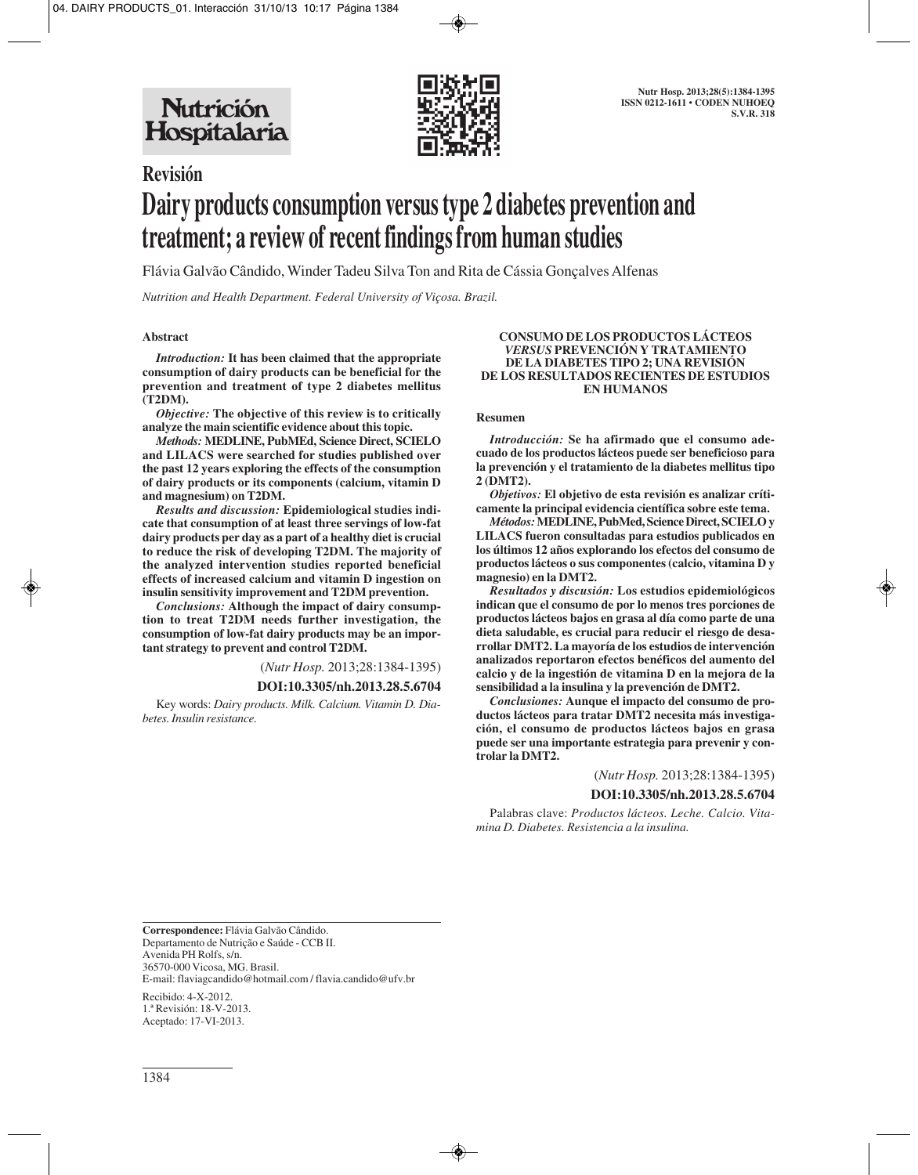

# **Revisión Dairy products consumption versus type 2 diabetes prevention and treatment; a review of recent findings from human studies**

Flávia Galvão Cândido, Winder Tadeu Silva Ton and Rita de Cássia Gonçalves Alfenas

*Nutrition and Health Department. Federal University of Viçosa. Brazil.*

## **Abstract**

*Introduction:* **It has been claimed that the appropriate consumption of dairy products can be beneficial for the prevention and treatment of type 2 diabetes mellitus (T2DM).** 

*Objective:* **The objective of this review is to critically analyze the main scientific evidence about this topic.**

*Methods:* **MEDLINE, PubMEd, Science Direct, SCIELO and LILACS were searched for studies published over the past 12 years exploring the effects of the consumption of dairy products or its components (calcium, vitamin D and magnesium) on T2DM.** 

*Results and discussion:* **Epidemiological studies indicate that consumption of at least three servings of low-fat dairy products per day as a part of a healthy diet is crucial to reduce the risk of developing T2DM. The majority of the analyzed intervention studies reported beneficial effects of increased calcium and vitamin D ingestion on insulin sensitivity improvement and T2DM prevention.**

*Conclusions:* **Although the impact of dairy consumption to treat T2DM needs further investigation, the consumption of low-fat dairy products may be an important strategy to prevent and control T2DM.**

(*Nutr Hosp.* 2013;28:1384-1395)

#### **DOI:10.3305/nh.2013.28.5.6704**

Key words: *Dairy products. Milk. Calcium. Vitamin D. Diabetes. Insulin resistance.*

#### **CONSUMO DE LOS PRODUCTOS LÁCTEOS** *VERSUS* **PREVENCIÓN Y TRATAMIENTO DE LA DIABETES TIPO 2; UNA REVISIÓN DE LOS RESULTADOS RECIENTES DE ESTUDIOS EN HUMANOS**

## **Resumen**

*Introducción:* **Se ha afirmado que el consumo adecuado de los productos lácteos puede ser beneficioso para la prevención y el tratamiento de la diabetes mellitus tipo 2 (DMT2).**

*Objetivos:* **El objetivo de esta revisión es analizar críticamente la principal evidencia científica sobre este tema.**

*Métodos:***MEDLINE, PubMed, Science Direct, SCIELO y LILACS fueron consultadas para estudios publicados en los últimos 12 años explorando los efectos del consumo de productos lácteos o sus componentes (calcio, vitamina D y magnesio) en la DMT2.** 

*Resultados y discusión:* **Los estudios epidemiológicos indican que el consumo de por lo menos tres porciones de productos lácteos bajos en grasa al día como parte de una dieta saludable, es crucial para reducir el riesgo de desarrollar DMT2. La mayoría de los estudios de intervención analizados reportaron efectos benéficos del aumento del calcio y de la ingestión de vitamina D en la mejora de la sensibilidad a la insulina y la prevención de DMT2.** 

*Conclusiones:* **Aunque el impacto del consumo de productos lácteos para tratar DMT2 necesita más investigación, el consumo de productos lácteos bajos en grasa puede ser una importante estrategia para prevenir y controlar la DMT2.**

(*Nutr Hosp.* 2013;28:1384-1395)

#### **DOI:10.3305/nh.2013.28.5.6704**

Palabras clave: *Productos lácteos. Leche. Calcio. Vitamina D. Diabetes. Resistencia a la insulina.*

**Correspondence:** Flávia Galvão Cândido. Departamento de Nutrição e Saúde - CCB II. Avenida PH Rolfs, s/n. 36570-000 Vicosa, MG. Brasil. E-mail: flaviagcandido@hotmail.com / flavia.candido@ufv.br

Recibido: 4-X-2012. 1.ª Revisión: 18-V-2013. Aceptado: 17-VI-2013.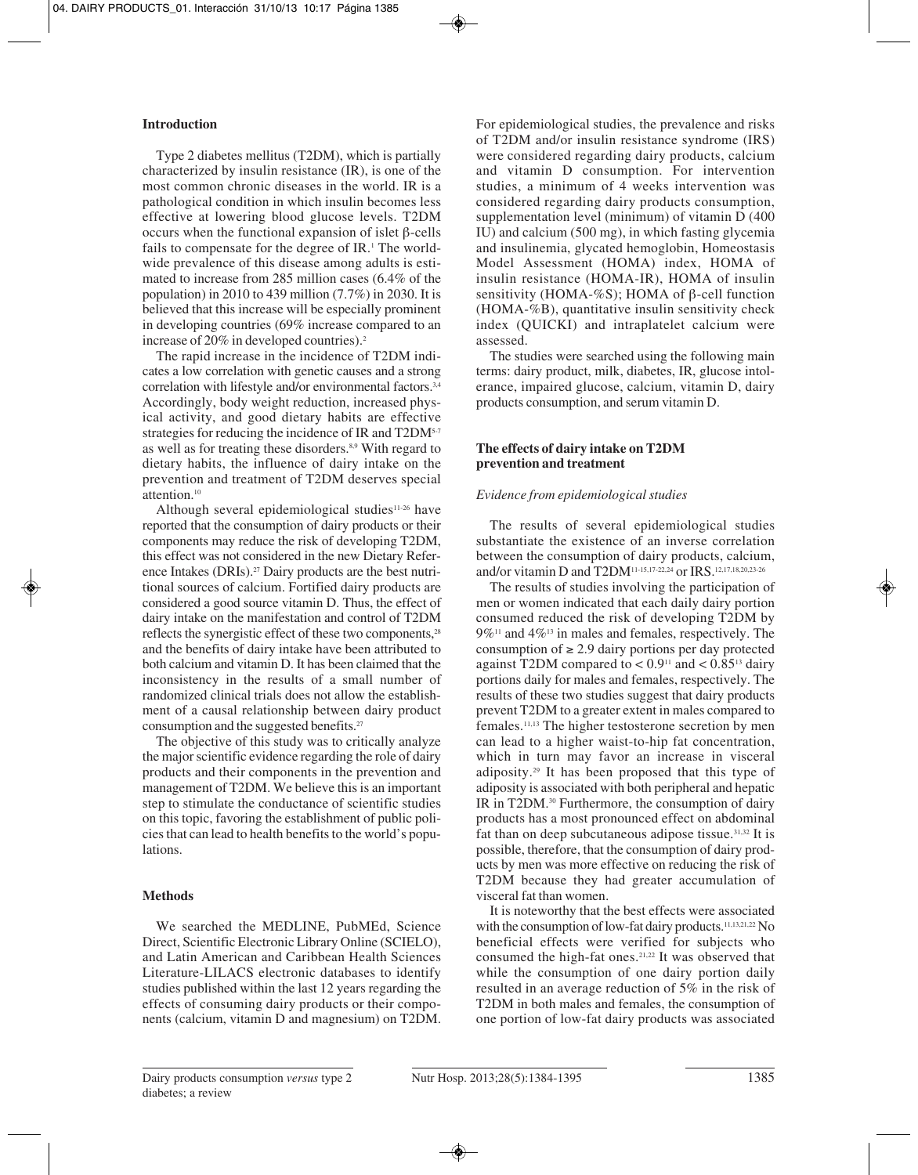# **Introduction**

Type 2 diabetes mellitus (T2DM), which is partially characterized by insulin resistance (IR), is one of the most common chronic diseases in the world. IR is a pathological condition in which insulin becomes less effective at lowering blood glucose levels. T2DM occurs when the functional expansion of islet β-cells fails to compensate for the degree of  $IR<sup>1</sup>$ . The worldwide prevalence of this disease among adults is estimated to increase from 285 million cases (6.4% of the population) in 2010 to 439 million (7.7%) in 2030. It is believed that this increase will be especially prominent in developing countries (69% increase compared to an increase of 20% in developed countries).2

The rapid increase in the incidence of T2DM indicates a low correlation with genetic causes and a strong correlation with lifestyle and/or environmental factors.<sup>3,4</sup> Accordingly, body weight reduction, increased physical activity, and good dietary habits are effective strategies for reducing the incidence of IR and T2DM<sup>5-7</sup> as well as for treating these disorders.<sup>8,9</sup> With regard to dietary habits, the influence of dairy intake on the prevention and treatment of T2DM deserves special attention.<sup>10</sup>

Although several epidemiological studies<sup>11-26</sup> have reported that the consumption of dairy products or their components may reduce the risk of developing T2DM, this effect was not considered in the new Dietary Reference Intakes (DRIs).<sup>27</sup> Dairy products are the best nutritional sources of calcium. Fortified dairy products are considered a good source vitamin D. Thus, the effect of dairy intake on the manifestation and control of T2DM reflects the synergistic effect of these two components,<sup>28</sup> and the benefits of dairy intake have been attributed to both calcium and vitamin D. It has been claimed that the inconsistency in the results of a small number of randomized clinical trials does not allow the establishment of a causal relationship between dairy product consumption and the suggested benefits.<sup>27</sup>

The objective of this study was to critically analyze the major scientific evidence regarding the role of dairy products and their components in the prevention and management of T2DM. We believe this is an important step to stimulate the conductance of scientific studies on this topic, favoring the establishment of public policies that can lead to health benefits to the world's populations.

# **Methods**

We searched the MEDLINE, PubMEd, Science Direct, Scientific Electronic Library Online (SCIELO), and Latin American and Caribbean Health Sciences Literature-LILACS electronic databases to identify studies published within the last 12 years regarding the effects of consuming dairy products or their components (calcium, vitamin D and magnesium) on T2DM. For epidemiological studies, the prevalence and risks of T2DM and/or insulin resistance syndrome (IRS) were considered regarding dairy products, calcium and vitamin D consumption. For intervention studies, a minimum of 4 weeks intervention was considered regarding dairy products consumption, supplementation level (minimum) of vitamin D (400 IU) and calcium (500 mg), in which fasting glycemia and insulinemia, glycated hemoglobin, Homeostasis Model Assessment (HOMA) index, HOMA of insulin resistance (HOMA-IR), HOMA of insulin sensitivity (HOMA-%S); HOMA of β-cell function (HOMA-%B), quantitative insulin sensitivity check index (QUICKI) and intraplatelet calcium were assessed.

The studies were searched using the following main terms: dairy product, milk, diabetes, IR, glucose intolerance, impaired glucose, calcium, vitamin D, dairy products consumption, and serum vitamin D.

# **The effects of dairy intake on T2DM prevention and treatment**

# *Evidence from epidemiological studies*

The results of several epidemiological studies substantiate the existence of an inverse correlation between the consumption of dairy products, calcium, and/or vitamin D and T2DM11-15,17-22,24 or IRS.12,17,18,20,23-26

The results of studies involving the participation of men or women indicated that each daily dairy portion consumed reduced the risk of developing T2DM by  $9\%$ <sup>11</sup> and  $4\%$ <sup>13</sup> in males and females, respectively. The consumption of  $\geq 2.9$  dairy portions per day protected against T2DM compared to  $< 0.9$ <sup>11</sup> and  $< 0.85$ <sup>13</sup> dairy portions daily for males and females, respectively. The results of these two studies suggest that dairy products prevent T2DM to a greater extent in males compared to females.11,13 The higher testosterone secretion by men can lead to a higher waist-to-hip fat concentration, which in turn may favor an increase in visceral adiposity.29 It has been proposed that this type of adiposity is associated with both peripheral and hepatic IR in T2DM.30 Furthermore, the consumption of dairy products has a most pronounced effect on abdominal fat than on deep subcutaneous adipose tissue.31,32 It is possible, therefore, that the consumption of dairy products by men was more effective on reducing the risk of T2DM because they had greater accumulation of visceral fat than women.

It is noteworthy that the best effects were associated with the consumption of low-fat dairy products.<sup>11,13,21,22</sup> No beneficial effects were verified for subjects who consumed the high-fat ones.21,22 It was observed that while the consumption of one dairy portion daily resulted in an average reduction of 5% in the risk of T2DM in both males and females, the consumption of one portion of low-fat dairy products was associated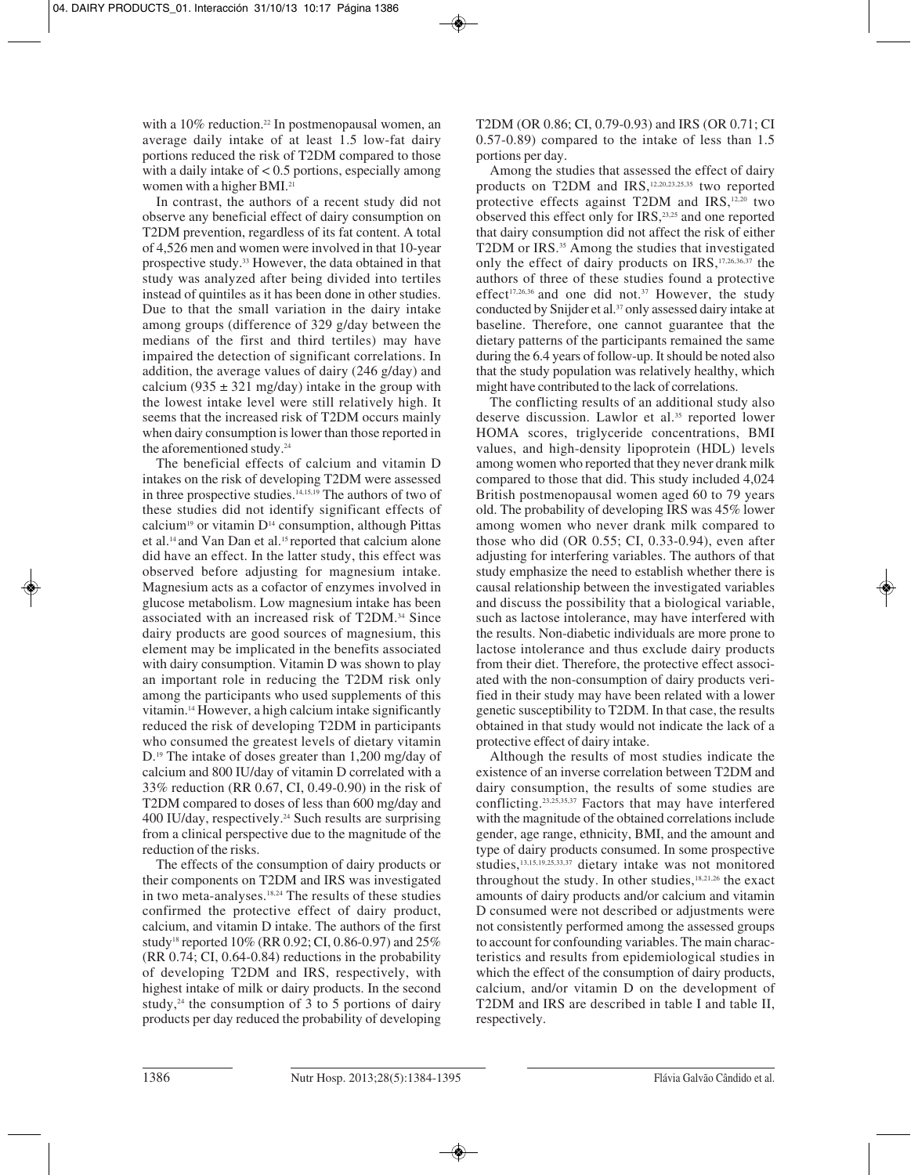with a 10% reduction.<sup>22</sup> In postmenopausal women, an average daily intake of at least 1.5 low-fat dairy portions reduced the risk of T2DM compared to those with a daily intake of  $< 0.5$  portions, especially among women with a higher BMI.<sup>21</sup>

In contrast, the authors of a recent study did not observe any beneficial effect of dairy consumption on T2DM prevention, regardless of its fat content. A total of 4,526 men and women were involved in that 10-year prospective study.33 However, the data obtained in that study was analyzed after being divided into tertiles instead of quintiles as it has been done in other studies. Due to that the small variation in the dairy intake among groups (difference of 329 g/day between the medians of the first and third tertiles) may have impaired the detection of significant correlations. In addition, the average values of dairy (246 g/day) and calcium (935  $\pm$  321 mg/day) intake in the group with the lowest intake level were still relatively high. It seems that the increased risk of T2DM occurs mainly when dairy consumption is lower than those reported in the aforementioned study.<sup>24</sup>

The beneficial effects of calcium and vitamin D intakes on the risk of developing T2DM were assessed in three prospective studies.14,15,19 The authors of two of these studies did not identify significant effects of calcium<sup>19</sup> or vitamin  $D<sup>14</sup>$  consumption, although Pittas et al.14 and Van Dan et al.15 reported that calcium alone did have an effect. In the latter study, this effect was observed before adjusting for magnesium intake. Magnesium acts as a cofactor of enzymes involved in glucose metabolism. Low magnesium intake has been associated with an increased risk of T2DM.34 Since dairy products are good sources of magnesium, this element may be implicated in the benefits associated with dairy consumption. Vitamin D was shown to play an important role in reducing the T2DM risk only among the participants who used supplements of this vitamin.14 However, a high calcium intake significantly reduced the risk of developing T2DM in participants who consumed the greatest levels of dietary vitamin D.19 The intake of doses greater than 1,200 mg/day of calcium and 800 IU/day of vitamin D correlated with a 33% reduction (RR 0.67, CI, 0.49-0.90) in the risk of T2DM compared to doses of less than 600 mg/day and 400 IU/day, respectively.24 Such results are surprising from a clinical perspective due to the magnitude of the reduction of the risks.

The effects of the consumption of dairy products or their components on T2DM and IRS was investigated in two meta-analyses.<sup>18,24</sup> The results of these studies confirmed the protective effect of dairy product, calcium, and vitamin D intake. The authors of the first study<sup>18</sup> reported 10% (RR 0.92; CI, 0.86-0.97) and 25% (RR 0.74; CI, 0.64-0.84) reductions in the probability of developing T2DM and IRS, respectively, with highest intake of milk or dairy products. In the second study, $24$  the consumption of 3 to 5 portions of dairy products per day reduced the probability of developing

T2DM (OR 0.86; CI, 0.79-0.93) and IRS (OR 0.71; CI 0.57-0.89) compared to the intake of less than 1.5 portions per day.

Among the studies that assessed the effect of dairy products on T2DM and IRS,12,20,23,25,35 two reported protective effects against T2DM and IRS,12,20 two observed this effect only for IRS,23,25 and one reported that dairy consumption did not affect the risk of either T2DM or IRS.<sup>35</sup> Among the studies that investigated only the effect of dairy products on IRS,17,26,36,37 the authors of three of these studies found a protective effect<sup>17,26,36</sup> and one did not.<sup>37</sup> However, the study conducted by Snijder et al.37 only assessed dairy intake at baseline. Therefore, one cannot guarantee that the dietary patterns of the participants remained the same during the 6.4 years of follow-up. It should be noted also that the study population was relatively healthy, which might have contributed to the lack of correlations.

The conflicting results of an additional study also deserve discussion. Lawlor et al.<sup>35</sup> reported lower HOMA scores, triglyceride concentrations, BMI values, and high-density lipoprotein (HDL) levels among women who reported that they never drank milk compared to those that did. This study included 4,024 British postmenopausal women aged 60 to 79 years old. The probability of developing IRS was 45% lower among women who never drank milk compared to those who did (OR 0.55; CI, 0.33-0.94), even after adjusting for interfering variables. The authors of that study emphasize the need to establish whether there is causal relationship between the investigated variables and discuss the possibility that a biological variable, such as lactose intolerance, may have interfered with the results. Non-diabetic individuals are more prone to lactose intolerance and thus exclude dairy products from their diet. Therefore, the protective effect associated with the non-consumption of dairy products verified in their study may have been related with a lower genetic susceptibility to T2DM. In that case, the results obtained in that study would not indicate the lack of a protective effect of dairy intake.

Although the results of most studies indicate the existence of an inverse correlation between T2DM and dairy consumption, the results of some studies are conflicting.23,25,35,37 Factors that may have interfered with the magnitude of the obtained correlations include gender, age range, ethnicity, BMI, and the amount and type of dairy products consumed. In some prospective studies,13,15,19,25,33,37 dietary intake was not monitored throughout the study. In other studies,<sup>18,21,26</sup> the exact amounts of dairy products and/or calcium and vitamin D consumed were not described or adjustments were not consistently performed among the assessed groups to account for confounding variables. The main characteristics and results from epidemiological studies in which the effect of the consumption of dairy products, calcium, and/or vitamin D on the development of T2DM and IRS are described in table I and table II, respectively.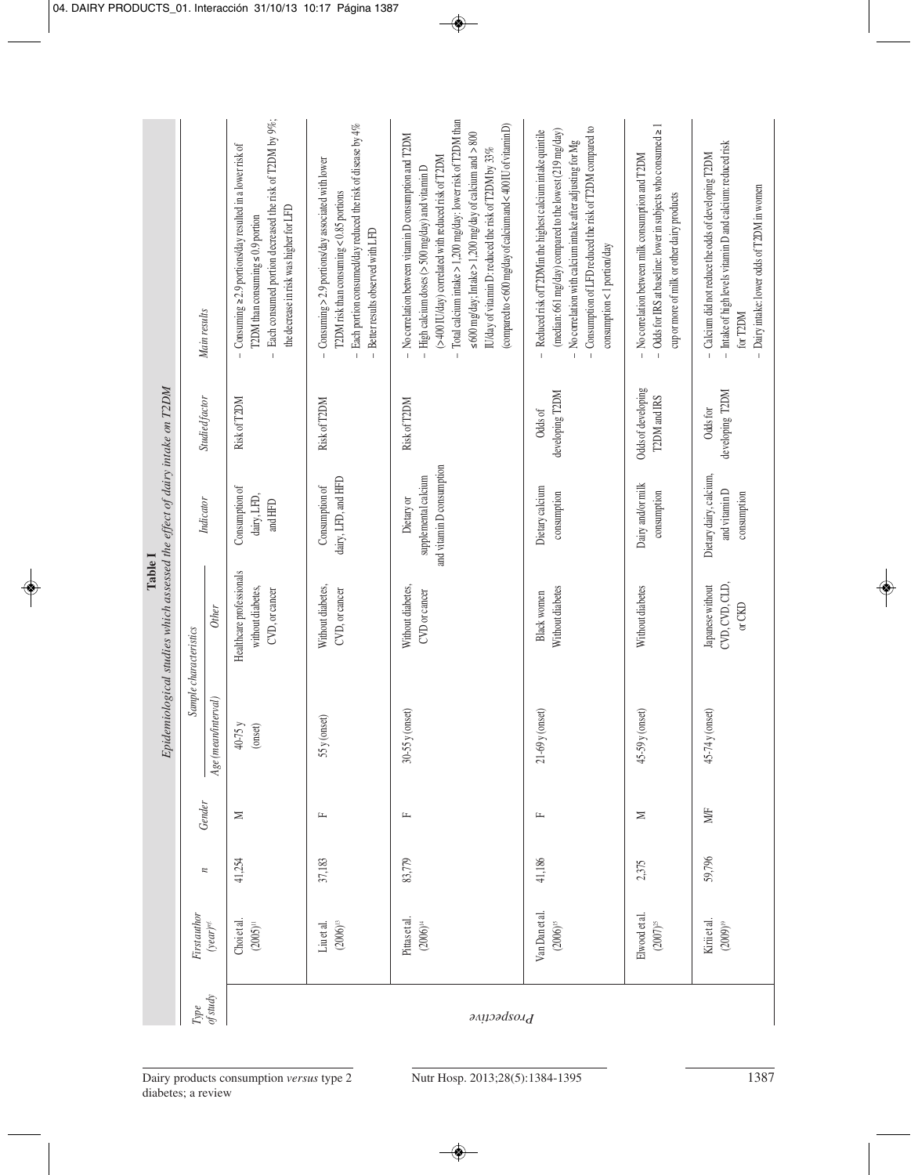| Each consumed portion decreased the risk of T2DM by 9%;<br>Total calcium intake > 1,200 mg/day: lower risk of T2DM than<br>(compared to <600 mg/day of calcium and <400 IU of vitamin D)<br>Each portion consumed/day reduced the risk of disease by 4%<br>- Odds for IRS at baseline: lower in subjects who consumed ≥ 1<br>- Consumption of LFD reduced the risk of T2DM compared to<br>(median: 661 mg/day) compared to the lowest (219 mg/day)<br>Reduced risk of T2DMin the highest calcium intake quintile<br>$\leq 600$ mg/day; Intake > 1,200 mg/day of calcium and > 800<br>No correlation between vitamin D consumption and T2DM<br>$-$ No correlation with calcium intake after adjusting for Mg<br>- Intake of high levels vitamin D and calcium: reduced risk<br>$-$ Consuming $\ge$ 2.9 portions/day resulted in a lower risk of<br>IU/day of vitamin D: reduced the risk of T2DM by 33%<br>- Calcium did not reduce the odds of developing T2DM<br>$-$ No correlation between milk consumption and T2DM<br>(>400 IU/day) correlated with reduced risk of T2DM<br>$-$ Consuming > 2.9 portions/day associated with lower<br>- High calcium doses ( $>$ 500 mg/day) and vitamin D<br>- Dairy intake: lower odds of T2DM in women<br>T2DM risk than consuming $< 0.85$ portions<br>cup or more of milk or other dairy products<br>the decrease in risk was higher for LFD<br>T2DM than consuming $\leq 0.9$ portion<br>Better results observed with LFD<br>consumption < 1 portion/day<br>Main results<br>for T2DM<br>$\mathbf{L}$<br>$\mathbb{I}$<br>Odds of developing<br>developing T2DM<br>developing T2DM<br>T2DM and IRS<br>Studied factor<br>Risk of T2DM<br>Risk of T2DM<br>Risk of T2DM<br>Odds for<br>Odds of<br>and vitamin D consumption<br>Dietary dairy, calcium,<br>supplemental calcium<br>dairy, LFD, and HFD<br>Dairy and/or milk<br>Consumption of<br>Consumption of<br>Dietary calcium<br>and vitamin D<br>consumption<br>consumption<br>consumption<br>dairy, LFD,<br>Dietary or<br>Indicator<br>and HFD<br>Healthcare professionals<br>CVD, CVD, CLD,<br>Japanese without<br>Without diabetes,<br>Without diabetes,<br>Without diabetes<br>Without diabetes<br>without diabetes,<br>CVD, or cancer<br>CVD, or cancer<br>CVD or cancer<br>Black women<br>or CKD<br><b>Other</b><br>Sample characteristics<br>$Age$ (mean/interval)<br>$45-74y$ (onset)<br>$30-55y$ (onset)<br>$21-69$ y (onset)<br>$45-59y$ (onset)<br>$55y$ (onset)<br>40-75 y<br>$(onset)$<br>Gender<br>MÆ<br>≍<br>≍<br>щ<br>匞<br>工<br>59,796<br>41,186<br>37,183<br>83,779<br>41,254<br>2,375<br>$\overline{\phantom{a}}$<br>Van Dan et al.<br>Elwood et al.<br>First author<br>Pittas et al.<br>Kirii et al.<br>Choi et al.<br>$(2006)^{15}$<br>$(2006)^{\scriptscriptstyle{\mathrm{B}}}$<br>$(2007)^{25}$<br>$(year)^{ref.}$<br>$(2005)^{\scriptscriptstyle 11}$<br>$(2006)^{14}$<br>$(2009)^{19}$<br>Liu et al.<br>Type<br>of study |  |  | Epidemiological studies which assessed the effect of dairy intake on T2DM<br>Table I |  |  |
|--------------------------------------------------------------------------------------------------------------------------------------------------------------------------------------------------------------------------------------------------------------------------------------------------------------------------------------------------------------------------------------------------------------------------------------------------------------------------------------------------------------------------------------------------------------------------------------------------------------------------------------------------------------------------------------------------------------------------------------------------------------------------------------------------------------------------------------------------------------------------------------------------------------------------------------------------------------------------------------------------------------------------------------------------------------------------------------------------------------------------------------------------------------------------------------------------------------------------------------------------------------------------------------------------------------------------------------------------------------------------------------------------------------------------------------------------------------------------------------------------------------------------------------------------------------------------------------------------------------------------------------------------------------------------------------------------------------------------------------------------------------------------------------------------------------------------------------------------------------------------------------------------------------------------------------------------------------------------------------------------------------------------------------------------------------------------------------------------------------------------------------------------------------------------------------------------------------------------------------------------------------------------------------------------------------------------------------------------------------------------------------------------------------------------------------------------------------------------------------------------------------------------------------------------------------------------------------------------------------------------------------------------------------------------------------------------------------------------------------------------------------------------------------------------------------------------------------------------------------------------------------------------------------------------------------------|--|--|--------------------------------------------------------------------------------------|--|--|
|                                                                                                                                                                                                                                                                                                                                                                                                                                                                                                                                                                                                                                                                                                                                                                                                                                                                                                                                                                                                                                                                                                                                                                                                                                                                                                                                                                                                                                                                                                                                                                                                                                                                                                                                                                                                                                                                                                                                                                                                                                                                                                                                                                                                                                                                                                                                                                                                                                                                                                                                                                                                                                                                                                                                                                                                                                                                                                                                            |  |  |                                                                                      |  |  |
|                                                                                                                                                                                                                                                                                                                                                                                                                                                                                                                                                                                                                                                                                                                                                                                                                                                                                                                                                                                                                                                                                                                                                                                                                                                                                                                                                                                                                                                                                                                                                                                                                                                                                                                                                                                                                                                                                                                                                                                                                                                                                                                                                                                                                                                                                                                                                                                                                                                                                                                                                                                                                                                                                                                                                                                                                                                                                                                                            |  |  |                                                                                      |  |  |
|                                                                                                                                                                                                                                                                                                                                                                                                                                                                                                                                                                                                                                                                                                                                                                                                                                                                                                                                                                                                                                                                                                                                                                                                                                                                                                                                                                                                                                                                                                                                                                                                                                                                                                                                                                                                                                                                                                                                                                                                                                                                                                                                                                                                                                                                                                                                                                                                                                                                                                                                                                                                                                                                                                                                                                                                                                                                                                                                            |  |  |                                                                                      |  |  |
|                                                                                                                                                                                                                                                                                                                                                                                                                                                                                                                                                                                                                                                                                                                                                                                                                                                                                                                                                                                                                                                                                                                                                                                                                                                                                                                                                                                                                                                                                                                                                                                                                                                                                                                                                                                                                                                                                                                                                                                                                                                                                                                                                                                                                                                                                                                                                                                                                                                                                                                                                                                                                                                                                                                                                                                                                                                                                                                                            |  |  |                                                                                      |  |  |
|                                                                                                                                                                                                                                                                                                                                                                                                                                                                                                                                                                                                                                                                                                                                                                                                                                                                                                                                                                                                                                                                                                                                                                                                                                                                                                                                                                                                                                                                                                                                                                                                                                                                                                                                                                                                                                                                                                                                                                                                                                                                                                                                                                                                                                                                                                                                                                                                                                                                                                                                                                                                                                                                                                                                                                                                                                                                                                                                            |  |  |                                                                                      |  |  |
|                                                                                                                                                                                                                                                                                                                                                                                                                                                                                                                                                                                                                                                                                                                                                                                                                                                                                                                                                                                                                                                                                                                                                                                                                                                                                                                                                                                                                                                                                                                                                                                                                                                                                                                                                                                                                                                                                                                                                                                                                                                                                                                                                                                                                                                                                                                                                                                                                                                                                                                                                                                                                                                                                                                                                                                                                                                                                                                                            |  |  |                                                                                      |  |  |
|                                                                                                                                                                                                                                                                                                                                                                                                                                                                                                                                                                                                                                                                                                                                                                                                                                                                                                                                                                                                                                                                                                                                                                                                                                                                                                                                                                                                                                                                                                                                                                                                                                                                                                                                                                                                                                                                                                                                                                                                                                                                                                                                                                                                                                                                                                                                                                                                                                                                                                                                                                                                                                                                                                                                                                                                                                                                                                                                            |  |  |                                                                                      |  |  |
|                                                                                                                                                                                                                                                                                                                                                                                                                                                                                                                                                                                                                                                                                                                                                                                                                                                                                                                                                                                                                                                                                                                                                                                                                                                                                                                                                                                                                                                                                                                                                                                                                                                                                                                                                                                                                                                                                                                                                                                                                                                                                                                                                                                                                                                                                                                                                                                                                                                                                                                                                                                                                                                                                                                                                                                                                                                                                                                                            |  |  |                                                                                      |  |  |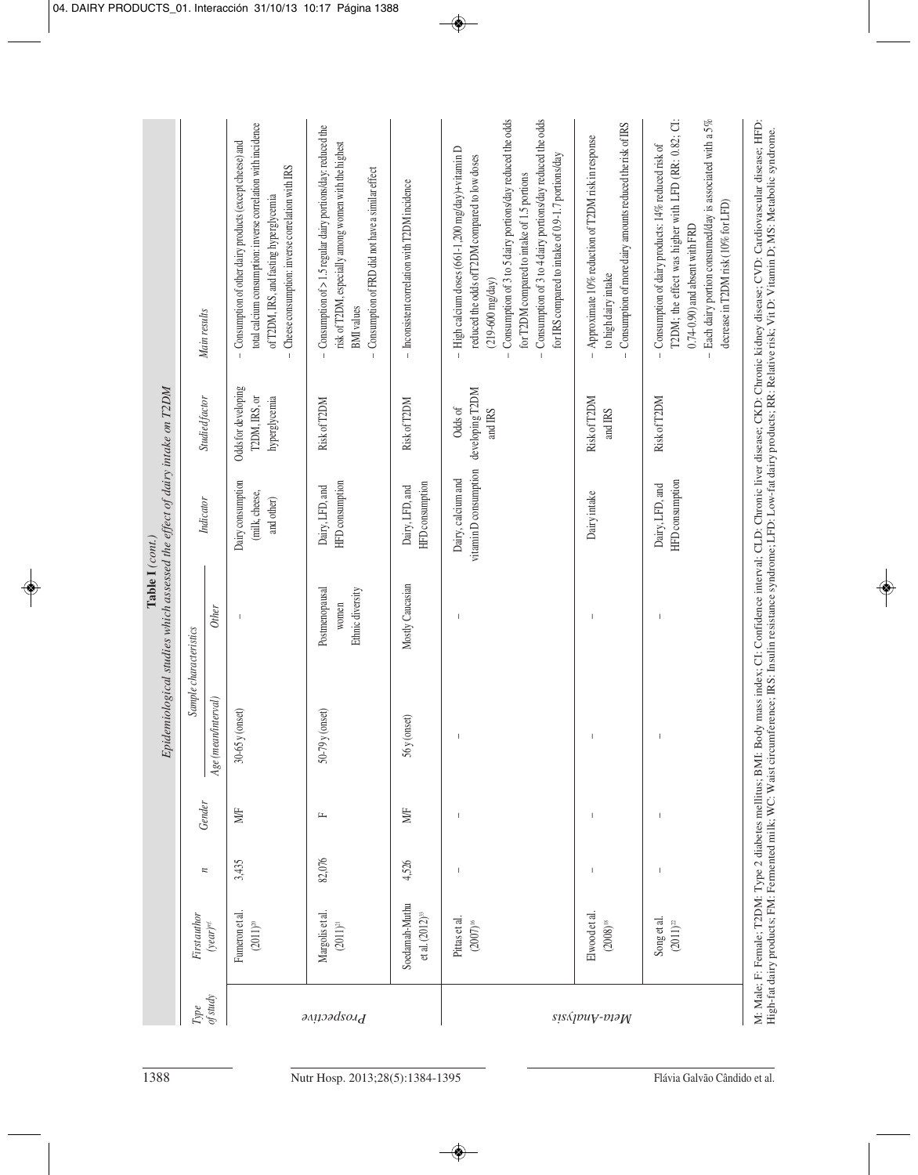| Epidemiological studies which assessed the effect of dairy intake on T2DM<br>Table I (cont.) | Sample characteristics<br>Gender | Main results<br>Studied factor<br>Indicator<br><b>Other</b><br>Age (mean/interval)<br>$\boldsymbol{n}$ | total calcium consumption: inverse correlation with incidence<br>- Consumption of other dairy products (except cheese) and<br>Cheese consumption: inverse correlation with IRS<br>of T2DM, IRS, and fasting hyperglycemia<br>Odds for developing<br>T2DM, IRS, or<br>hyperglycemia<br>Dairy consumption<br>(milk, cheese,<br>and other)<br>(onset)<br>$30 - 65y$ (<br>MÆ<br>3,435 | $-$ Consumption of $> 1.5$ regular dairy portions/day: reduced the<br>risk of T2DM, especially among women with the highest<br>Consumption of FRD did not have a similar effect<br><b>BMI</b> values<br>Risk of T2DM<br>HFD consumption<br>Dairy, LFD, and<br>Postmenopausal<br>Ethnic diversity<br>women<br>$50-79$ y (onset)<br>圧 | - Inconsistent correlation with T2DM incidence<br>Risk of T2DM<br>HFD consumption<br>Dairy, LFD, and<br>Mostly Caucasian<br>$56y$ (onset)<br>MÆ<br>4,526 | Consumption of 3 to 4 dairy portions/day reduced the odds<br>Consumption of 3 to 5 dairy portions/day reduced the odds<br>High calcium doses (661-1,200 mg/day)+vitamin D<br>for IRS compared to intake of 0.9-1.7 portions/day<br>reduced the odds ofT2DM compared to low doses<br>for T2DM compared to intake of 1.5 portions<br>$(219 - 600 \text{ mg/day})$<br>developing T2DM<br>Odds of<br>and IRS<br>vitamin D consumption<br>Dairy, calcium and<br>$\,$ $\,$<br>$\overline{\phantom{a}}$<br>$\overline{\phantom{a}}$ | Consumption of more dairy amounts reduced the risk of IRS<br>Approximate 10% reduction of T2DM risk in response<br>to high dairy intake<br>$\bar{1}$<br>$\mathbb{I}$<br>Risk of T2DM<br>and IRS<br>Dairy intake<br>I<br>$\mathsf I$<br>$\overline{1}$<br>I | T2DM; the effect was higher with LFD (RR: 0.82; CI:<br>Each dairy portion consumed/day is associated with a 5%<br>Consumption of dairy products: 14% reduced risk of<br>decrease in T2DM risk (10% for LFD)<br>0.74-0.90) and absent with FRD<br>Risk of T2DM<br>HFD consumption<br>Dairy, LFD, and<br>$\sf I$<br>I |
|----------------------------------------------------------------------------------------------|----------------------------------|--------------------------------------------------------------------------------------------------------|-----------------------------------------------------------------------------------------------------------------------------------------------------------------------------------------------------------------------------------------------------------------------------------------------------------------------------------------------------------------------------------|-------------------------------------------------------------------------------------------------------------------------------------------------------------------------------------------------------------------------------------------------------------------------------------------------------------------------------------|----------------------------------------------------------------------------------------------------------------------------------------------------------|------------------------------------------------------------------------------------------------------------------------------------------------------------------------------------------------------------------------------------------------------------------------------------------------------------------------------------------------------------------------------------------------------------------------------------------------------------------------------------------------------------------------------|------------------------------------------------------------------------------------------------------------------------------------------------------------------------------------------------------------------------------------------------------------|---------------------------------------------------------------------------------------------------------------------------------------------------------------------------------------------------------------------------------------------------------------------------------------------------------------------|
|                                                                                              |                                  |                                                                                                        |                                                                                                                                                                                                                                                                                                                                                                                   |                                                                                                                                                                                                                                                                                                                                     |                                                                                                                                                          |                                                                                                                                                                                                                                                                                                                                                                                                                                                                                                                              |                                                                                                                                                                                                                                                            |                                                                                                                                                                                                                                                                                                                     |
|                                                                                              |                                  |                                                                                                        |                                                                                                                                                                                                                                                                                                                                                                                   |                                                                                                                                                                                                                                                                                                                                     |                                                                                                                                                          |                                                                                                                                                                                                                                                                                                                                                                                                                                                                                                                              |                                                                                                                                                                                                                                                            |                                                                                                                                                                                                                                                                                                                     |
|                                                                                              |                                  |                                                                                                        |                                                                                                                                                                                                                                                                                                                                                                                   | 82,076                                                                                                                                                                                                                                                                                                                              |                                                                                                                                                          |                                                                                                                                                                                                                                                                                                                                                                                                                                                                                                                              |                                                                                                                                                                                                                                                            |                                                                                                                                                                                                                                                                                                                     |
|                                                                                              | First author                     | $(year)^{ef}$                                                                                          | Fumeron et al.<br>$(2011)^{\text{20}}$                                                                                                                                                                                                                                                                                                                                            | Margolis et al.<br>$(2011)^{21}$                                                                                                                                                                                                                                                                                                    | Soedamah-Muthu<br>et al. $(2012)^n$                                                                                                                      | Pittas et al.<br>$(2007)^{16}$                                                                                                                                                                                                                                                                                                                                                                                                                                                                                               | Elwood et al.<br>$(2008)^{\scriptscriptstyle{18}}$                                                                                                                                                                                                         | Song et al.<br>$(2011)^{\rm{22}}$                                                                                                                                                                                                                                                                                   |
|                                                                                              | Type                             | of study                                                                                               |                                                                                                                                                                                                                                                                                                                                                                                   | Prospective                                                                                                                                                                                                                                                                                                                         |                                                                                                                                                          |                                                                                                                                                                                                                                                                                                                                                                                                                                                                                                                              | sis&puv-viə <sub>W</sub>                                                                                                                                                                                                                                   |                                                                                                                                                                                                                                                                                                                     |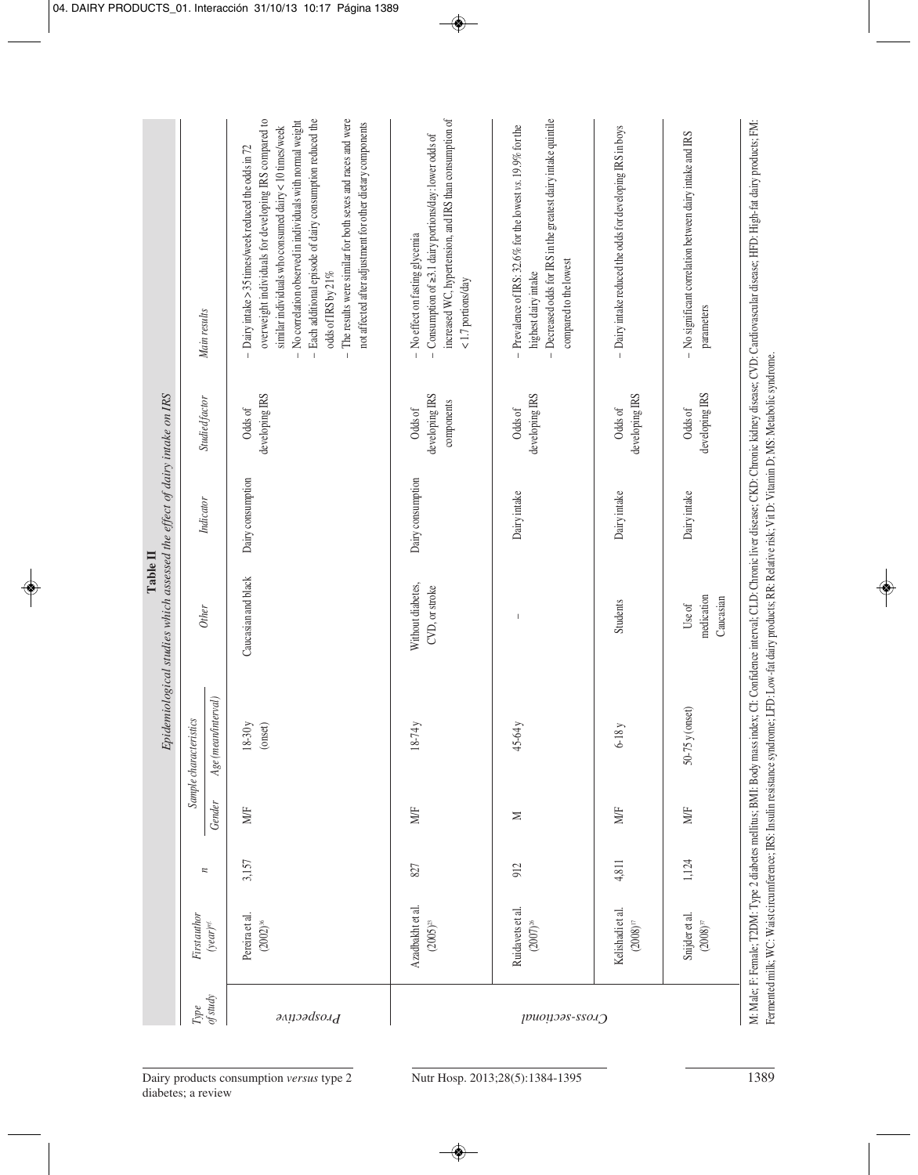|                 |                                                 |                  |        |                                                                                                                                                                      | Epidemiological studies which assessed the effect of dairy intake on IRS<br>Table II |                   |                                         |                                                                                                                                                                                                                                                                                                                                                                                                                                                                        |
|-----------------|-------------------------------------------------|------------------|--------|----------------------------------------------------------------------------------------------------------------------------------------------------------------------|--------------------------------------------------------------------------------------|-------------------|-----------------------------------------|------------------------------------------------------------------------------------------------------------------------------------------------------------------------------------------------------------------------------------------------------------------------------------------------------------------------------------------------------------------------------------------------------------------------------------------------------------------------|
| Type            | First author                                    |                  |        | Sample characteristics                                                                                                                                               |                                                                                      |                   |                                         |                                                                                                                                                                                                                                                                                                                                                                                                                                                                        |
| of study        | $(year)^{ref.}$                                 | $\overline{\mu}$ | Gender | <i>(interval)</i><br>Age (mean/                                                                                                                                      | <b>Other</b>                                                                         | Indicator         | Studied factor                          | Main results                                                                                                                                                                                                                                                                                                                                                                                                                                                           |
| Prospective     | Pereira et al.<br>$(2002)^{36}$                 | 3,157            | MÆ     | $18-30y$<br>(onset)                                                                                                                                                  | Caucasian and black                                                                  | Dairy consumption | developing IRS<br>Odds of               | overweight individuals for developing IRS compared to<br>- Each additional episode of dairy consumption reduced the<br>The results were similar for both sexes and races and were<br>No correlation observed in individuals with normal weight<br>not affected after adjustment for other dietary components<br>similar individuals who consumed dairy $<$ 10 times/week<br>$-$ Dairy intake > 35 times/week reduced the odds in 72<br>odds of IRS by 21%<br>$\bar{1}$ |
|                 | Azadbakht et al.<br>$(2005)^{23}$               | 827              | MÆ     | $18-74y$                                                                                                                                                             | Without diabetes,<br>CVD, or stroke                                                  | Dairy consumption | developing IRS<br>components<br>Odds of | increased WC, hypertension, and IRS than consumption of<br>- Consumption of $\geq$ 3.1 dairy portions/day: lower odds of<br>- No effect on fasting glycemia<br><1.7 portions/day                                                                                                                                                                                                                                                                                       |
| Cross-sectional | Ruidavets et al.<br>$(2007)^{26}$               | 912              | N      | $45-64y$                                                                                                                                                             |                                                                                      | Dairy intake      | developing IRS<br>Odds of               | Decreased odds for IRS in the greatest dairy intake quintile<br>- Prevalence of IRS: $32.6\%$ for the lowest vs. 19.9% for the<br>compared to the lowest<br>highest dairy intake<br>$\mathbf{I}$                                                                                                                                                                                                                                                                       |
|                 | Kelishadi et al.<br>$(2008)^{\text{\tiny{II}}}$ | 4,811            | MÆ     | $6-18y$                                                                                                                                                              | <b>Students</b>                                                                      | Dairy intake      | developing IRS<br>Odds of               | - Dairy intake reduced the odds for developing IRS in boys                                                                                                                                                                                                                                                                                                                                                                                                             |
|                 | Snijder et al.<br>$(2008)^{37}$                 | 1,124            | MÆ     | $50-75y$ (onset)                                                                                                                                                     | medication<br>Caucasian<br>Use of                                                    | Dairy intake      | developing IRS<br>Odds of               | - No significant correlation between dairy intake and IRS<br>parameters                                                                                                                                                                                                                                                                                                                                                                                                |
|                 |                                                 |                  |        | Fermented milk; WC: Waist circumference; IRS: Insulin resistance syndrome; LFD: Low-fat dairy products; RR: Relative risk; Vit D: Vitamin D; MS: Metabolic syndrome. |                                                                                      |                   |                                         | M: Male; F: Female; T2DM: Type 2 diabetes mellitus; BMI: Body mass index; CL Confidence interval; CLD: Chronic liver disease; CKD: Chronic kidney disease; CVD: Cardiovascular disease; HFD: High-fat dairy products; FM:                                                                                                                                                                                                                                              |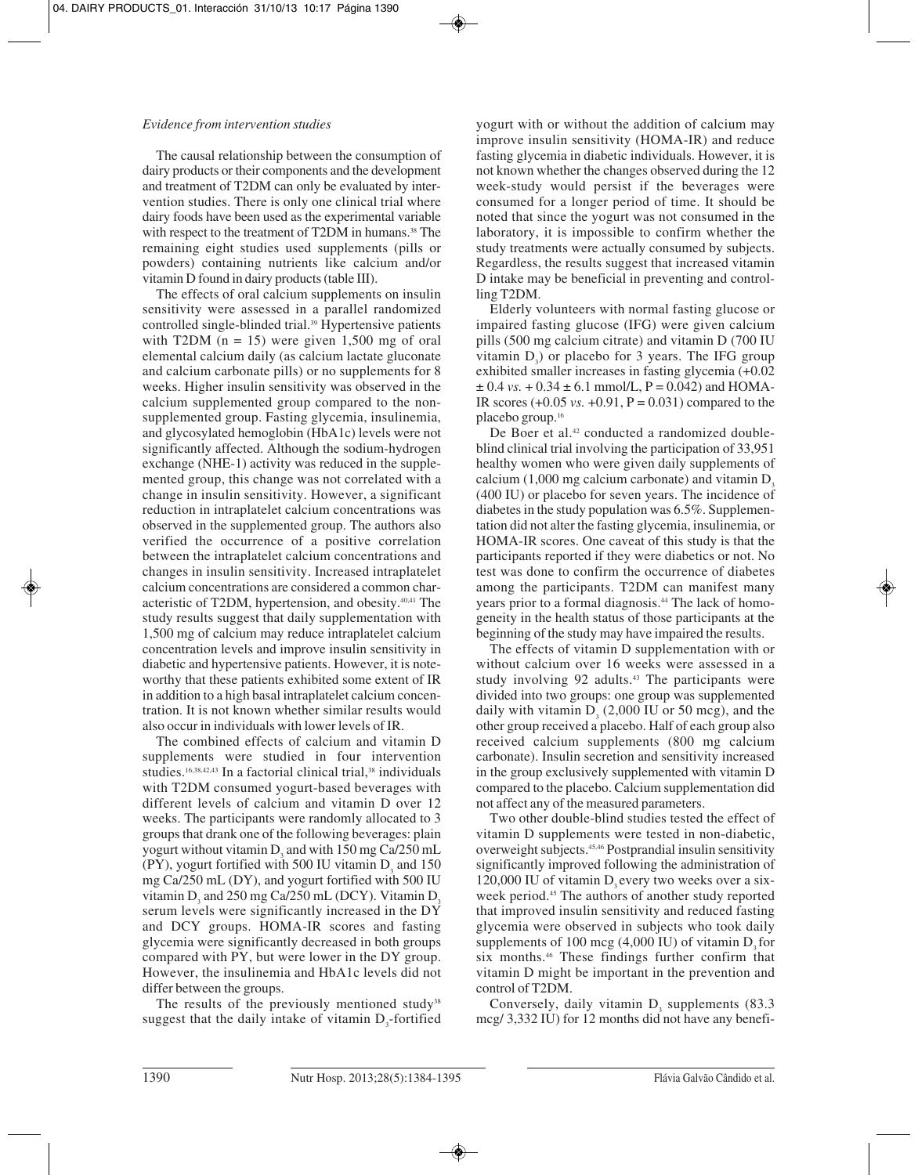## *Evidence from intervention studies*

The causal relationship between the consumption of dairy products or their components and the development and treatment of T2DM can only be evaluated by intervention studies. There is only one clinical trial where dairy foods have been used as the experimental variable with respect to the treatment of T2DM in humans.<sup>38</sup> The remaining eight studies used supplements (pills or powders) containing nutrients like calcium and/or vitamin D found in dairy products (table III).

The effects of oral calcium supplements on insulin sensitivity were assessed in a parallel randomized controlled single-blinded trial.39 Hypertensive patients with T2DM  $(n = 15)$  were given 1,500 mg of oral elemental calcium daily (as calcium lactate gluconate and calcium carbonate pills) or no supplements for 8 weeks. Higher insulin sensitivity was observed in the calcium supplemented group compared to the nonsupplemented group. Fasting glycemia, insulinemia, and glycosylated hemoglobin (HbA1c) levels were not significantly affected. Although the sodium-hydrogen exchange (NHE-1) activity was reduced in the supplemented group, this change was not correlated with a change in insulin sensitivity. However, a significant reduction in intraplatelet calcium concentrations was observed in the supplemented group. The authors also verified the occurrence of a positive correlation between the intraplatelet calcium concentrations and changes in insulin sensitivity. Increased intraplatelet calcium concentrations are considered a common characteristic of T2DM, hypertension, and obesity.40,41 The study results suggest that daily supplementation with 1,500 mg of calcium may reduce intraplatelet calcium concentration levels and improve insulin sensitivity in diabetic and hypertensive patients. However, it is noteworthy that these patients exhibited some extent of IR in addition to a high basal intraplatelet calcium concentration. It is not known whether similar results would also occur in individuals with lower levels of IR.

The combined effects of calcium and vitamin D supplements were studied in four intervention studies.<sup>16,38,42,43</sup> In a factorial clinical trial,<sup>38</sup> individuals with T2DM consumed yogurt-based beverages with different levels of calcium and vitamin D over 12 weeks. The participants were randomly allocated to 3 groups that drank one of the following beverages: plain yogurt without vitamin D<sub>3</sub> and with  $150 \text{ mg } \text{Ca}/250 \text{ mL}$  $(PY)$ , yogurt fortified with 500 IU vitamin  $D<sub>z</sub>$  and 150 mg Ca/250 mL (DY), and yogurt fortified with 500 IU vitamin D<sub>3</sub> and 250 mg Ca/250 mL (DCY). Vitamin D<sub>3</sub> serum levels were significantly increased in the DY and DCY groups. HOMA-IR scores and fasting glycemia were significantly decreased in both groups compared with PY, but were lower in the DY group. However, the insulinemia and HbA1c levels did not differ between the groups.

The results of the previously mentioned study<sup>38</sup> suggest that the daily intake of vitamin  $D_3$ -fortified

yogurt with or without the addition of calcium may improve insulin sensitivity (HOMA-IR) and reduce fasting glycemia in diabetic individuals. However, it is not known whether the changes observed during the 12 week-study would persist if the beverages were consumed for a longer period of time. It should be noted that since the yogurt was not consumed in the laboratory, it is impossible to confirm whether the study treatments were actually consumed by subjects. Regardless, the results suggest that increased vitamin D intake may be beneficial in preventing and controlling T2DM.

Elderly volunteers with normal fasting glucose or impaired fasting glucose (IFG) were given calcium pills (500 mg calcium citrate) and vitamin D (700 IU vitamin  $D_3$ ) or placebo for 3 years. The IFG group exhibited smaller increases in fasting glycemia (+0.02  $\pm$  0.4 *vs.* + 0.34  $\pm$  6.1 mmol/L, P = 0.042) and HOMA-IR scores  $(+0.05 \text{ vs. } +0.91, P = 0.031)$  compared to the placebo group.16

De Boer et al.<sup>42</sup> conducted a randomized doubleblind clinical trial involving the participation of 33,951 healthy women who were given daily supplements of calcium  $(1,000 \text{ mg calcium carbonate})$  and vitamin D<sub>3</sub> (400 IU) or placebo for seven years. The incidence of diabetes in the study population was 6.5%. Supplementation did not alter the fasting glycemia, insulinemia, or HOMA-IR scores. One caveat of this study is that the participants reported if they were diabetics or not. No test was done to confirm the occurrence of diabetes among the participants. T2DM can manifest many years prior to a formal diagnosis.<sup>44</sup> The lack of homogeneity in the health status of those participants at the beginning of the study may have impaired the results.

The effects of vitamin D supplementation with or without calcium over 16 weeks were assessed in a study involving 92 adults.<sup>43</sup> The participants were divided into two groups: one group was supplemented daily with vitamin  $D<sub>2</sub>$  (2,000 IU or 50 mcg), and the other group received a placebo. Half of each group also received calcium supplements (800 mg calcium carbonate). Insulin secretion and sensitivity increased in the group exclusively supplemented with vitamin D compared to the placebo. Calcium supplementation did not affect any of the measured parameters.

Two other double-blind studies tested the effect of vitamin D supplements were tested in non-diabetic, overweight subjects.45,46 Postprandial insulin sensitivity significantly improved following the administration of  $120,000$  IU of vitamin D, every two weeks over a sixweek period.<sup>45</sup> The authors of another study reported that improved insulin sensitivity and reduced fasting glycemia were observed in subjects who took daily supplements of  $100 \text{ mcg}$  (4,000 IU) of vitamin D<sub>2</sub> for six months.46 These findings further confirm that vitamin D might be important in the prevention and control of T2DM.

Conversely, daily vitamin  $D<sub>3</sub>$  supplements (83.3) mcg/ 3,332 IU) for 12 months did not have any benefi-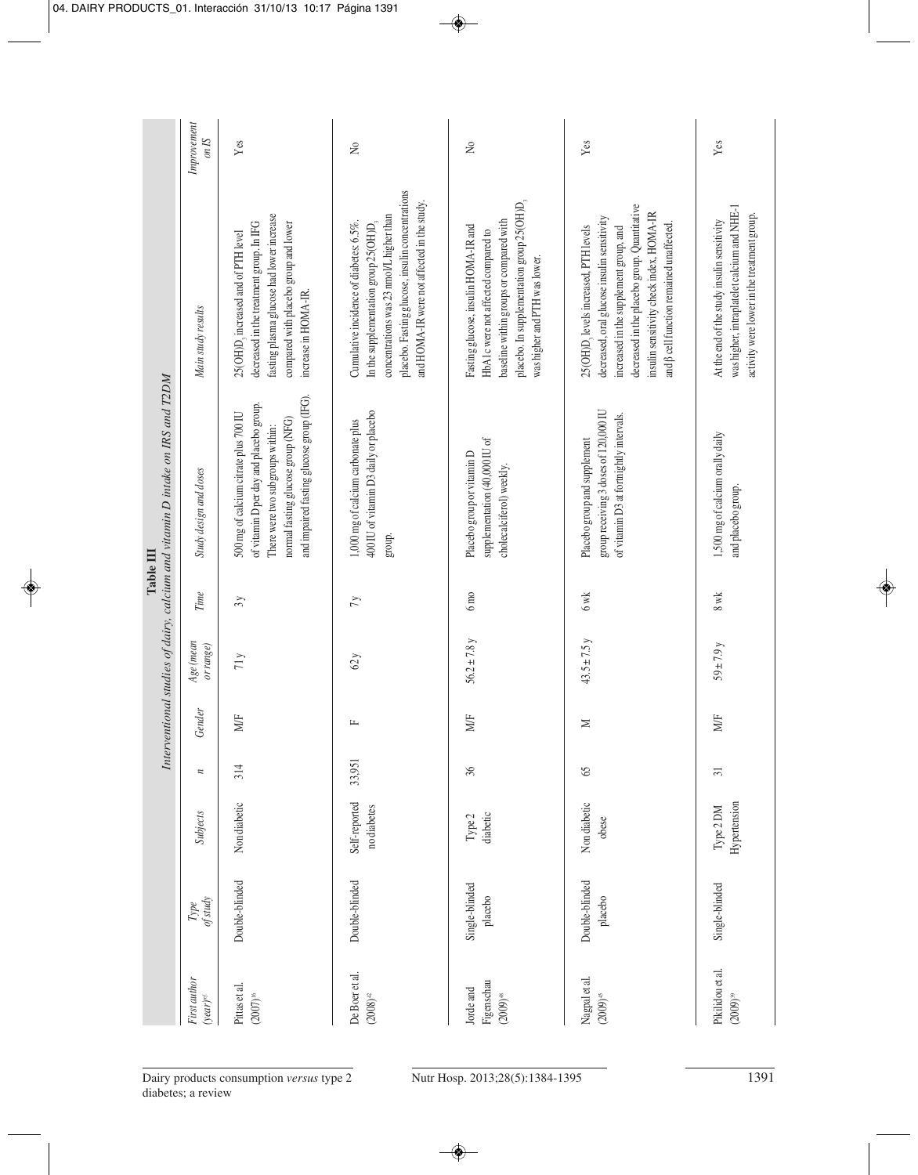|                                                                               | Improvement<br>$\mathop{S\!I}\nolimits u\mathop{o}$ | Yes                                                                                                                                                                                                     | $\gtrsim$                                                                                                                                                                                                                                   | $\gtrsim$                                                                                                                                                                                             | Yes                                                                                                                                                                                                                                                                          | Yes                                                                                                                                       |
|-------------------------------------------------------------------------------|-----------------------------------------------------|---------------------------------------------------------------------------------------------------------------------------------------------------------------------------------------------------------|---------------------------------------------------------------------------------------------------------------------------------------------------------------------------------------------------------------------------------------------|-------------------------------------------------------------------------------------------------------------------------------------------------------------------------------------------------------|------------------------------------------------------------------------------------------------------------------------------------------------------------------------------------------------------------------------------------------------------------------------------|-------------------------------------------------------------------------------------------------------------------------------------------|
|                                                                               | Main study results                                  | fasting plasma glucose had lower increase<br>decreased in the treatment group. In IFG<br>compared with placebo group and lower<br>25(OH)D, increased and of PTH level<br>increase in HOMA-IR.           | placebo. Fasting glucose, insulin concentrations<br>and HOMA-IR were not affected in the study.<br>concentrations was 23 nmol/L higher than<br>Cumulative incidence of diabetes: 6.5%.<br>In the supplementation group 25(OH)D <sub>3</sub> | placebo. In supplementation group 25(OH)D,<br>baseline within groups or compared with<br>Fasting glucose, insulin HOMA-IR and<br>HbA1c were not affected compared to<br>was higher and PTH was lower. | decreased in the placebo group. Quantitative<br>insulin sensitivity check index, HOMA-IR<br>decreased, oral glucose insulin sensitivity<br>and $\beta$ cell function remained unaffected.<br>25(OH)D, levels increased, PTH levels<br>increased in the supplement group, and | was higher, intraplatelet calcium and NHE-1<br>activity were lower in the treatment group.<br>At the end of the study insulin sensitivity |
| Interventional studies of dairy, calcium and vitamin D intake on IRS and T2DM | Study design and doses                              | and impaired fasting glucose group (IFG).<br>of vitamin D per day and placebo group.<br>500 mg of calcium citrate plus 700 IU<br>normal fasting glucose group (NFG)<br>There were two subgroups within: | 400 IU of vitamin D3 daily or placebo<br>1,000 mg of calcium carbonate plus<br>group.                                                                                                                                                       | supplementation (40,000 IU of<br>Placebo group or vitamin D<br>cholecalciferol) weekly.                                                                                                               | group receiving 3 doses of 120,000 IU<br>of vitamin D3 at fortnightly intervals.<br>Placebo group and supplement                                                                                                                                                             | 1,500 mg of calcium orally daily<br>and placebo group.                                                                                    |
| Table III                                                                     | Time                                                | 3y                                                                                                                                                                                                      | 7y                                                                                                                                                                                                                                          | $6 \text{ m}$                                                                                                                                                                                         | 6wk                                                                                                                                                                                                                                                                          | 8 wk                                                                                                                                      |
|                                                                               | Age (mean<br>or range)                              | $71\,\mathrm{y}$                                                                                                                                                                                        | 62y                                                                                                                                                                                                                                         | $56.2 \pm 7.8$ y                                                                                                                                                                                      | $43.5 \pm 7.5y$                                                                                                                                                                                                                                                              | $59 + 7.9y$                                                                                                                               |
|                                                                               | Gender                                              | MÆ                                                                                                                                                                                                      | $\mathbf{L}$                                                                                                                                                                                                                                | MÆ                                                                                                                                                                                                    | $\geq$                                                                                                                                                                                                                                                                       | MÆ                                                                                                                                        |
|                                                                               | $\overline{\phantom{a}}$                            | 314                                                                                                                                                                                                     | 33,951                                                                                                                                                                                                                                      | 36                                                                                                                                                                                                    | 65                                                                                                                                                                                                                                                                           | $\overline{31}$                                                                                                                           |
|                                                                               | Subjects                                            | Non diabetic                                                                                                                                                                                            | Self-reported<br>no diabetes                                                                                                                                                                                                                | diabetic<br>Type 2                                                                                                                                                                                    | Non diabetic<br>obese                                                                                                                                                                                                                                                        | Hypertension<br>Type 2 DM                                                                                                                 |
|                                                                               | of study<br>$Type$                                  | Double-blinded                                                                                                                                                                                          | Double-blinded                                                                                                                                                                                                                              | Single-blinded<br>placebo                                                                                                                                                                             | Double-blinded<br>placebo                                                                                                                                                                                                                                                    | Single-blinded                                                                                                                            |
|                                                                               | First author<br>$(year)^{ref.}$                     | Pittas et al.<br>$(2007)^{\text{\tiny{16}}}$                                                                                                                                                            | De Boer et al.<br>$(2008)^{\scriptscriptstyle 42}$                                                                                                                                                                                          | Figenschau<br>Jorde and<br>$(2009)^{48}$                                                                                                                                                              | Nagpal et al.<br>$(2009)^{45}$                                                                                                                                                                                                                                               | Pikilidou et al.<br>$(2009)^{39}$                                                                                                         |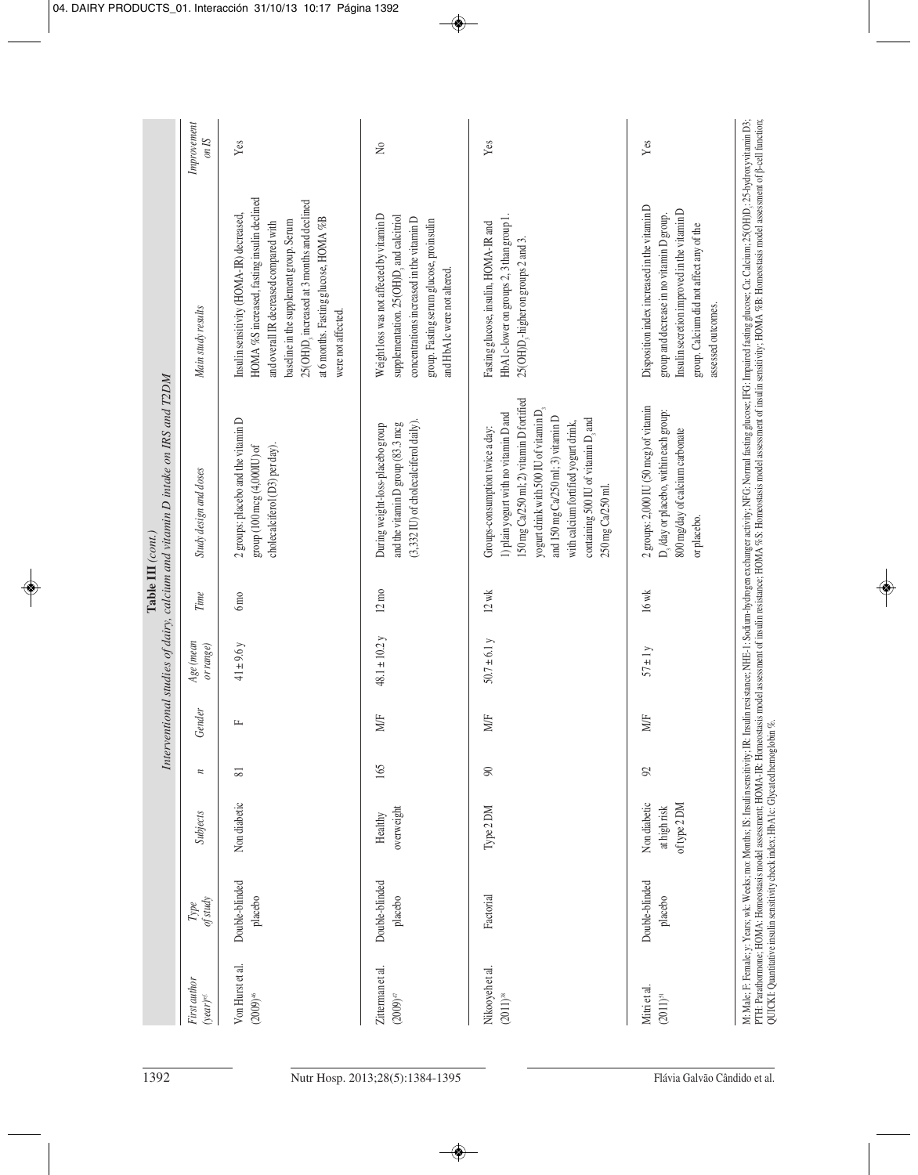| Improvement<br>on IS<br>Main study results<br>Interventional studies of dairy, calcium and vitamin D intake on IRS and T2DM<br>Study design and doses<br>Table III $\left( cont.\right)$<br>Time<br>Age (mean<br>or range) | Yes<br>HOMA %S increased, fasting insulin declined<br>25(OH)D, increased at 3 months and declined<br>Insulin sensitivity (HOMA-IR) decreased,<br>at 6 months. Fasting glucose, HOMA %B<br>baseline in the supplement group. Serum<br>and overall IR decreased compared with<br>were not affected.<br>2 groups: placebo and the vitamin D<br>cholecalciferol (D3) per day).<br>group (100 mcg (4,000IU) of<br>$6 \text{ mo}$<br>$41 \pm 9.6 y$ | $\tilde{z}$<br>Weight loss was not affected by vitamin D<br>supplementation. 25(OH)D, and calcitriol<br>concentrations increased in the vitamin D<br>group. Fasting serum glucose, proinsulin<br>and HbA1c were not altered.<br>$(3,332 \text{ IU})$ of cholecalciferol daily).<br>and the vitamin D group (83.3 mcg<br>During weight-loss-placebo group<br>$12 \text{ mo}$<br>$48.1 \pm 10.2$ y | Yes<br>HbA1c-lower on groups 2, 3 than group 1.<br>Fasting glucose, insulin, HOMA-IR and<br>$25(OH)D3$ -higher on groups 2 and 3.<br>150 mg Ca/250 ml; 2) vitamin D fortified<br>yogurt drink with 500 IU of vitamin D <sub>3</sub><br>1) plain yogurt with no vitamin D and<br>and 150 mg Ca/250 ml; 3) vitamin D<br>containing 500 IU of vitamin D <sub>3</sub> and<br>with calcium fortified yogurt drink,<br>Groups-consumption twice a day:<br>250 mg Ca/250 ml.<br>$12 \text{ wk}$<br>50.7 ± 6.1 y | Yes<br>Disposition index increased in the vitamin D<br>Insulin secretion improved in the vitamin D<br>group and decrease in no vitamin D group.<br>group. Calcium did not affect any of the<br>assessed outcomes.<br>2 groups: 2,000 IU (50 mcg) of vitamin<br>D, /day or placebo, within each group:<br>800 mg/day of calcium carbonate<br>or placebo.<br>$16$ wk<br>$57 \pm 1 y$ |
|----------------------------------------------------------------------------------------------------------------------------------------------------------------------------------------------------------------------------|-----------------------------------------------------------------------------------------------------------------------------------------------------------------------------------------------------------------------------------------------------------------------------------------------------------------------------------------------------------------------------------------------------------------------------------------------|--------------------------------------------------------------------------------------------------------------------------------------------------------------------------------------------------------------------------------------------------------------------------------------------------------------------------------------------------------------------------------------------------|----------------------------------------------------------------------------------------------------------------------------------------------------------------------------------------------------------------------------------------------------------------------------------------------------------------------------------------------------------------------------------------------------------------------------------------------------------------------------------------------------------|------------------------------------------------------------------------------------------------------------------------------------------------------------------------------------------------------------------------------------------------------------------------------------------------------------------------------------------------------------------------------------|
| Gender                                                                                                                                                                                                                     | щ                                                                                                                                                                                                                                                                                                                                                                                                                                             | MÆ<br>165                                                                                                                                                                                                                                                                                                                                                                                        | MÆ                                                                                                                                                                                                                                                                                                                                                                                                                                                                                                       | MÆ                                                                                                                                                                                                                                                                                                                                                                                 |
| $\overline{\phantom{a}}$<br>Subjects                                                                                                                                                                                       | $\overline{\infty}$<br>Non diabetic                                                                                                                                                                                                                                                                                                                                                                                                           | overweight<br>Healthy                                                                                                                                                                                                                                                                                                                                                                            | 90<br>Type 2 DM                                                                                                                                                                                                                                                                                                                                                                                                                                                                                          | $\mathcal{S}$<br>Non diabetic<br>of type 2 DM<br>at high risk                                                                                                                                                                                                                                                                                                                      |
| of study<br>$\mathit{Type}$                                                                                                                                                                                                | Double-blinded<br>placebo                                                                                                                                                                                                                                                                                                                                                                                                                     | Double-blinded<br>placebo                                                                                                                                                                                                                                                                                                                                                                        | Factorial                                                                                                                                                                                                                                                                                                                                                                                                                                                                                                | Double-blinded<br>placebo                                                                                                                                                                                                                                                                                                                                                          |
| First author<br>$(year)^{ref.}$                                                                                                                                                                                            | Von Hurst et al.<br>$(2009)^{46}$                                                                                                                                                                                                                                                                                                                                                                                                             | Zitterman et al.<br>$(2009)^{47}$                                                                                                                                                                                                                                                                                                                                                                | Nikooyeh et al.<br>$(2011)^{38}$                                                                                                                                                                                                                                                                                                                                                                                                                                                                         | Mitri et al.<br>$(2011)^{51}$                                                                                                                                                                                                                                                                                                                                                      |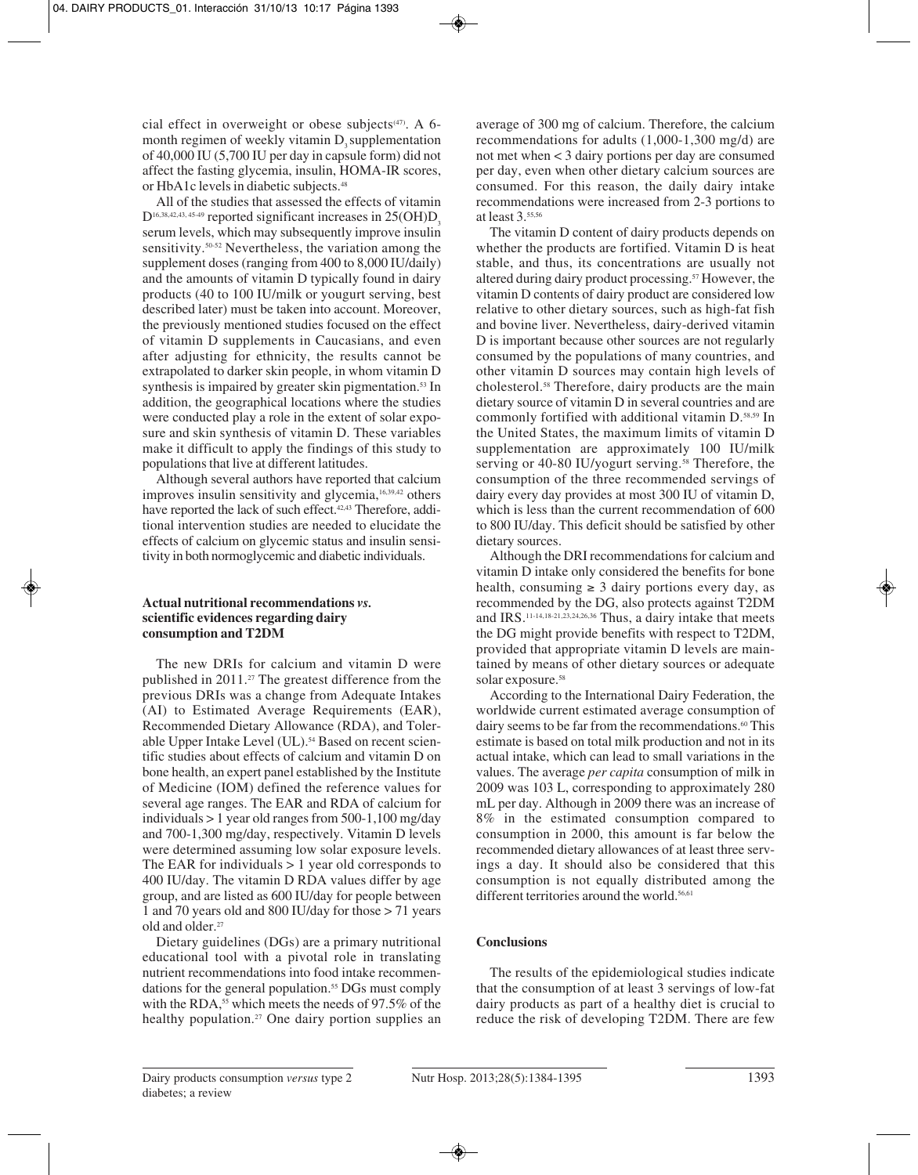cial effect in overweight or obese subjects $(47)$ . A 6month regimen of weekly vitamin D<sub>2</sub> supplementation of 40,000 IU (5,700 IU per day in capsule form) did not affect the fasting glycemia, insulin, HOMA-IR scores, or HbA1c levels in diabetic subjects.<sup>48</sup>

All of the studies that assessed the effects of vitamin  $D$ <sup>16,38,42,43, 45-49</sup> reported significant increases in 25(OH)D<sub>3</sub> serum levels, which may subsequently improve insulin sensitivity.<sup>50-52</sup> Nevertheless, the variation among the supplement doses (ranging from 400 to 8,000 IU/daily) and the amounts of vitamin D typically found in dairy products (40 to 100 IU/milk or yougurt serving, best described later) must be taken into account. Moreover, the previously mentioned studies focused on the effect of vitamin D supplements in Caucasians, and even after adjusting for ethnicity, the results cannot be extrapolated to darker skin people, in whom vitamin D synthesis is impaired by greater skin pigmentation.<sup>53</sup> In addition, the geographical locations where the studies were conducted play a role in the extent of solar exposure and skin synthesis of vitamin D. These variables make it difficult to apply the findings of this study to populations that live at different latitudes.

Although several authors have reported that calcium improves insulin sensitivity and glycemia,<sup>16,39,42</sup> others have reported the lack of such effect.<sup>42,43</sup> Therefore, additional intervention studies are needed to elucidate the effects of calcium on glycemic status and insulin sensitivity in both normoglycemic and diabetic individuals.

# **Actual nutritional recommendations** *vs.* **scientific evidences regarding dairy consumption and T2DM**

The new DRIs for calcium and vitamin D were published in 2011.27 The greatest difference from the previous DRIs was a change from Adequate Intakes (AI) to Estimated Average Requirements (EAR), Recommended Dietary Allowance (RDA), and Tolerable Upper Intake Level (UL).<sup>54</sup> Based on recent scientific studies about effects of calcium and vitamin D on bone health, an expert panel established by the Institute of Medicine (IOM) defined the reference values for several age ranges. The EAR and RDA of calcium for individuals > 1 year old ranges from 500-1,100 mg/day and 700-1,300 mg/day, respectively. Vitamin D levels were determined assuming low solar exposure levels. The EAR for individuals  $> 1$  year old corresponds to 400 IU/day. The vitamin D RDA values differ by age group, and are listed as 600 IU/day for people between 1 and 70 years old and 800 IU/day for those > 71 years old and older.<sup>27</sup>

Dietary guidelines (DGs) are a primary nutritional educational tool with a pivotal role in translating nutrient recommendations into food intake recommendations for the general population.<sup>55</sup> DGs must comply with the RDA,<sup>55</sup> which meets the needs of 97.5% of the healthy population.<sup>27</sup> One dairy portion supplies an

average of 300 mg of calcium. Therefore, the calcium recommendations for adults (1,000-1,300 mg/d) are not met when < 3 dairy portions per day are consumed per day, even when other dietary calcium sources are consumed. For this reason, the daily dairy intake recommendations were increased from 2-3 portions to at least 3.55,56

The vitamin D content of dairy products depends on whether the products are fortified. Vitamin D is heat stable, and thus, its concentrations are usually not altered during dairy product processing.57 However, the vitamin D contents of dairy product are considered low relative to other dietary sources, such as high-fat fish and bovine liver. Nevertheless, dairy-derived vitamin D is important because other sources are not regularly consumed by the populations of many countries, and other vitamin D sources may contain high levels of cholesterol.58 Therefore, dairy products are the main dietary source of vitamin D in several countries and are commonly fortified with additional vitamin D.58,59 In the United States, the maximum limits of vitamin D supplementation are approximately 100 IU/milk serving or 40-80 IU/yogurt serving.<sup>58</sup> Therefore, the consumption of the three recommended servings of dairy every day provides at most 300 IU of vitamin D, which is less than the current recommendation of 600 to 800 IU/day. This deficit should be satisfied by other dietary sources.

Although the DRI recommendations for calcium and vitamin D intake only considered the benefits for bone health, consuming  $\geq 3$  dairy portions every day, as recommended by the DG, also protects against T2DM and IRS.11-14,18-21,23,24,26,36 Thus, a dairy intake that meets the DG might provide benefits with respect to T2DM, provided that appropriate vitamin D levels are maintained by means of other dietary sources or adequate solar exposure.<sup>58</sup>

According to the International Dairy Federation, the worldwide current estimated average consumption of dairy seems to be far from the recommendations.<sup>60</sup> This estimate is based on total milk production and not in its actual intake, which can lead to small variations in the values. The average *per capita* consumption of milk in 2009 was 103 L, corresponding to approximately 280 mL per day. Although in 2009 there was an increase of 8% in the estimated consumption compared to consumption in 2000, this amount is far below the recommended dietary allowances of at least three servings a day. It should also be considered that this consumption is not equally distributed among the different territories around the world.<sup>56,61</sup>

# **Conclusions**

The results of the epidemiological studies indicate that the consumption of at least 3 servings of low-fat dairy products as part of a healthy diet is crucial to reduce the risk of developing T2DM. There are few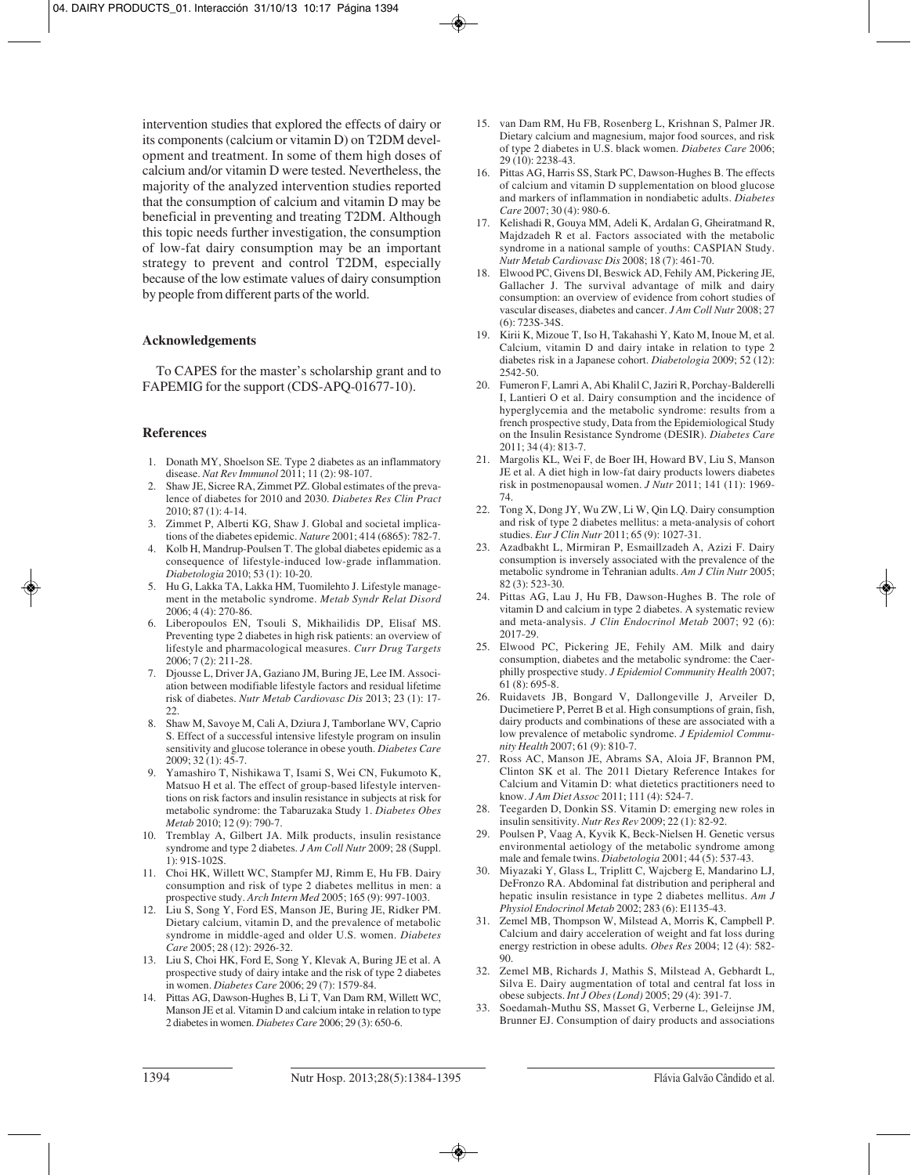intervention studies that explored the effects of dairy or its components (calcium or vitamin D) on T2DM development and treatment. In some of them high doses of calcium and/or vitamin D were tested. Nevertheless, the majority of the analyzed intervention studies reported that the consumption of calcium and vitamin D may be beneficial in preventing and treating T2DM. Although this topic needs further investigation, the consumption of low-fat dairy consumption may be an important strategy to prevent and control T2DM, especially because of the low estimate values of dairy consumption by people from different parts of the world.

## **Acknowledgements**

To CAPES for the master's scholarship grant and to FAPEMIG for the support (CDS-APQ-01677-10).

#### **References**

- 1. Donath MY, Shoelson SE. Type 2 diabetes as an inflammatory disease. *Nat Rev Immunol* 2011; 11 (2): 98-107.
- 2. Shaw JE, Sicree RA, Zimmet PZ. Global estimates of the prevalence of diabetes for 2010 and 2030. *Diabetes Res Clin Pract* 2010; 87 (1): 4-14.
- 3. Zimmet P, Alberti KG, Shaw J. Global and societal implications of the diabetes epidemic. *Nature* 2001; 414 (6865): 782-7.
- 4. Kolb H, Mandrup-Poulsen T. The global diabetes epidemic as a consequence of lifestyle-induced low-grade inflammation. *Diabetologia* 2010; 53 (1): 10-20.
- 5. Hu G, Lakka TA, Lakka HM, Tuomilehto J. Lifestyle management in the metabolic syndrome. *Metab Syndr Relat Disord* 2006; 4 (4): 270-86.
- 6. Liberopoulos EN, Tsouli S, Mikhailidis DP, Elisaf MS. Preventing type 2 diabetes in high risk patients: an overview of lifestyle and pharmacological measures. *Curr Drug Targets* 2006; 7 (2): 211-28.
- 7. Djousse L, Driver JA, Gaziano JM, Buring JE, Lee IM. Association between modifiable lifestyle factors and residual lifetime risk of diabetes. *Nutr Metab Cardiovasc Dis* 2013; 23 (1): 17- 22.
- 8. Shaw M, Savoye M, Cali A, Dziura J, Tamborlane WV, Caprio S. Effect of a successful intensive lifestyle program on insulin sensitivity and glucose tolerance in obese youth. *Diabetes Care* 2009; 32 (1): 45-7.
- 9. Yamashiro T, Nishikawa T, Isami S, Wei CN, Fukumoto K, Matsuo H et al. The effect of group-based lifestyle interventions on risk factors and insulin resistance in subjects at risk for metabolic syndrome: the Tabaruzaka Study 1. *Diabetes Obes Metab* 2010; 12 (9): 790-7.
- 10. Tremblay A, Gilbert JA. Milk products, insulin resistance syndrome and type 2 diabetes. *J Am Coll Nutr* 2009; 28 (Suppl. 1): 91S-102S.
- 11. Choi HK, Willett WC, Stampfer MJ, Rimm E, Hu FB. Dairy consumption and risk of type 2 diabetes mellitus in men: a prospective study. *Arch Intern Med* 2005; 165 (9): 997-1003.
- 12. Liu S, Song Y, Ford ES, Manson JE, Buring JE, Ridker PM. Dietary calcium, vitamin D, and the prevalence of metabolic syndrome in middle-aged and older U.S. women. *Diabetes Care* 2005; 28 (12): 2926-32.
- 13. Liu S, Choi HK, Ford E, Song Y, Klevak A, Buring JE et al. A prospective study of dairy intake and the risk of type 2 diabetes in women. *Diabetes Care* 2006; 29 (7): 1579-84.
- 14. Pittas AG, Dawson-Hughes B, Li T, Van Dam RM, Willett WC, Manson JE et al. Vitamin D and calcium intake in relation to type 2 diabetes in women. *Diabetes Care* 2006; 29 (3): 650-6.
- 15. van Dam RM, Hu FB, Rosenberg L, Krishnan S, Palmer JR. Dietary calcium and magnesium, major food sources, and risk of type 2 diabetes in U.S. black women. *Diabetes Care* 2006; 29 (10): 2238-43.
- 16. Pittas AG, Harris SS, Stark PC, Dawson-Hughes B. The effects of calcium and vitamin D supplementation on blood glucose and markers of inflammation in nondiabetic adults. *Diabetes Care* 2007; 30 (4): 980-6.
- 17. Kelishadi R, Gouya MM, Adeli K, Ardalan G, Gheiratmand R, Majdzadeh R et al. Factors associated with the metabolic syndrome in a national sample of youths: CASPIAN Study. *Nutr Metab Cardiovasc Dis* 2008; 18 (7): 461-70.
- 18. Elwood PC, Givens DI, Beswick AD, Fehily AM, Pickering JE, Gallacher J. The survival advantage of milk and dairy consumption: an overview of evidence from cohort studies of vascular diseases, diabetes and cancer. *J Am Coll Nutr* 2008; 27 (6): 723S-34S.
- 19. Kirii K, Mizoue T, Iso H, Takahashi Y, Kato M, Inoue M, et al. Calcium, vitamin D and dairy intake in relation to type 2 diabetes risk in a Japanese cohort. *Diabetologia* 2009; 52 (12): 2542-50.
- 20. Fumeron F, Lamri A, Abi Khalil C, Jaziri R, Porchay-Balderelli I, Lantieri O et al. Dairy consumption and the incidence of hyperglycemia and the metabolic syndrome: results from a french prospective study, Data from the Epidemiological Study on the Insulin Resistance Syndrome (DESIR). *Diabetes Care* 2011; 34 (4): 813-7.
- 21. Margolis KL, Wei F, de Boer IH, Howard BV, Liu S, Manson JE et al. A diet high in low-fat dairy products lowers diabetes risk in postmenopausal women. *J Nutr* 2011; 141 (11): 1969- 74.
- 22. Tong X, Dong JY, Wu ZW, Li W, Qin LQ. Dairy consumption and risk of type 2 diabetes mellitus: a meta-analysis of cohort studies. *Eur J Clin Nutr* 2011; 65 (9): 1027-31.
- 23. Azadbakht L, Mirmiran P, Esmaillzadeh A, Azizi F. Dairy consumption is inversely associated with the prevalence of the metabolic syndrome in Tehranian adults. *Am J Clin Nutr* 2005; 82 (3): 523-30.
- 24. Pittas AG, Lau J, Hu FB, Dawson-Hughes B. The role of vitamin D and calcium in type 2 diabetes. A systematic review and meta-analysis. *J Clin Endocrinol Metab* 2007; 92 (6): 2017-29.
- 25. Elwood PC, Pickering JE, Fehily AM. Milk and dairy consumption, diabetes and the metabolic syndrome: the Caerphilly prospective study. *J Epidemiol Community Health* 2007; 61 (8): 695-8.
- 26. Ruidavets JB, Bongard V, Dallongeville J, Arveiler D, Ducimetiere P, Perret B et al. High consumptions of grain, fish, dairy products and combinations of these are associated with a low prevalence of metabolic syndrome. *J Epidemiol Community Health* 2007; 61 (9): 810-7.
- 27. Ross AC, Manson JE, Abrams SA, Aloia JF, Brannon PM, Clinton SK et al. The 2011 Dietary Reference Intakes for Calcium and Vitamin D: what dietetics practitioners need to know. *J Am Diet Assoc* 2011; 111 (4): 524-7.
- 28. Teegarden D, Donkin SS. Vitamin D: emerging new roles in insulin sensitivity. *Nutr Res Rev* 2009; 22 (1): 82-92.
- 29. Poulsen P, Vaag A, Kyvik K, Beck-Nielsen H. Genetic versus environmental aetiology of the metabolic syndrome among male and female twins. *Diabetologia* 2001; 44 (5): 537-43.
- 30. Miyazaki Y, Glass L, Triplitt C, Wajcberg E, Mandarino LJ, DeFronzo RA. Abdominal fat distribution and peripheral and hepatic insulin resistance in type 2 diabetes mellitus. *Am J Physiol Endocrinol Metab* 2002; 283 (6): E1135-43.
- 31. Zemel MB, Thompson W, Milstead A, Morris K, Campbell P. Calcium and dairy acceleration of weight and fat loss during energy restriction in obese adults. *Obes Res* 2004; 12 (4): 582- 90.
- 32. Zemel MB, Richards J, Mathis S, Milstead A, Gebhardt L, Silva E. Dairy augmentation of total and central fat loss in obese subjects. *Int J Obes (Lond)* 2005; 29 (4): 391-7.
- 33. Soedamah-Muthu SS, Masset G, Verberne L, Geleijnse JM, Brunner EJ. Consumption of dairy products and associations